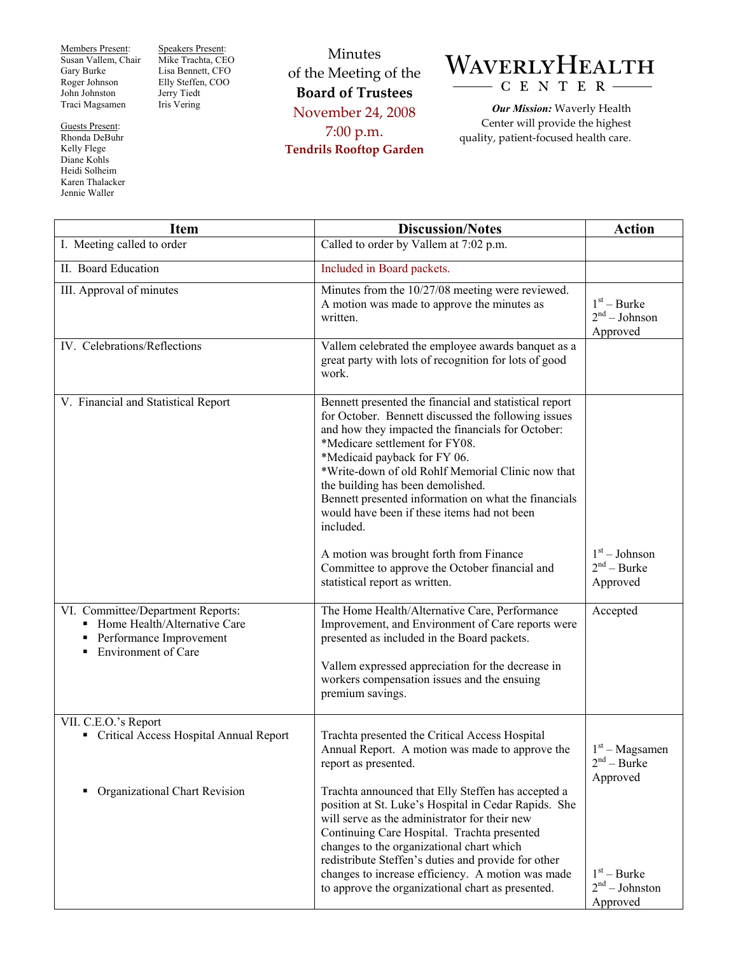Members Present: Susan Vallem, Chair Gary Burke Roger Johnson John Johnston Traci Magsamen

Guests Present: Rhonda DeBuhr Kelly Flege Diane Kohls Heidi Solheim Karen Thalacker Jennie Waller

Speakers Present: Mike Trachta, CEO Lisa Bennett, CFO Elly Steffen, COO Jerry Tiedt Iris Vering

Minutes of the Meeting of the **Board of Trustees**  November 24, 2008 7:00 p.m. **Tendrils Rooftop Garden** 



*Our Mission:* Waverly Health Center will provide the highest quality, patient-focused health care.

| <b>Item</b>                                                                                                                     | <b>Discussion/Notes</b>                                                                                                                                                                                                                                                                                                                                                                                                                                                                       | <b>Action</b>                                 |
|---------------------------------------------------------------------------------------------------------------------------------|-----------------------------------------------------------------------------------------------------------------------------------------------------------------------------------------------------------------------------------------------------------------------------------------------------------------------------------------------------------------------------------------------------------------------------------------------------------------------------------------------|-----------------------------------------------|
| I. Meeting called to order                                                                                                      | Called to order by Vallem at 7:02 p.m.                                                                                                                                                                                                                                                                                                                                                                                                                                                        |                                               |
| II. Board Education                                                                                                             | Included in Board packets.                                                                                                                                                                                                                                                                                                                                                                                                                                                                    |                                               |
| III. Approval of minutes                                                                                                        | Minutes from the 10/27/08 meeting were reviewed.<br>A motion was made to approve the minutes as<br>written.                                                                                                                                                                                                                                                                                                                                                                                   | $1st - Burke$<br>$2nd - Johnson$<br>Approved  |
| IV. Celebrations/Reflections                                                                                                    | Vallem celebrated the employee awards banquet as a<br>great party with lots of recognition for lots of good<br>work.                                                                                                                                                                                                                                                                                                                                                                          |                                               |
| V. Financial and Statistical Report                                                                                             | Bennett presented the financial and statistical report<br>for October. Bennett discussed the following issues<br>and how they impacted the financials for October:<br>*Medicare settlement for FY08.<br>*Medicaid payback for FY 06.<br>*Write-down of old Rohlf Memorial Clinic now that<br>the building has been demolished.<br>Bennett presented information on what the financials<br>would have been if these items had not been<br>included.<br>A motion was brought forth from Finance | $1st - Johnson$                               |
|                                                                                                                                 | Committee to approve the October financial and<br>statistical report as written.                                                                                                                                                                                                                                                                                                                                                                                                              | $2nd - Burke$<br>Approved                     |
| VI. Committee/Department Reports:<br>Home Health/Alternative Care<br>Performance Improvement<br>٠<br><b>Environment of Care</b> | The Home Health/Alternative Care, Performance<br>Improvement, and Environment of Care reports were<br>presented as included in the Board packets.<br>Vallem expressed appreciation for the decrease in<br>workers compensation issues and the ensuing<br>premium savings.                                                                                                                                                                                                                     | Accepted                                      |
| VII. C.E.O.'s Report<br>• Critical Access Hospital Annual Report                                                                | Trachta presented the Critical Access Hospital<br>Annual Report. A motion was made to approve the<br>report as presented.                                                                                                                                                                                                                                                                                                                                                                     | $1st - Magsamen$<br>$2nd - Burke$<br>Approved |
| Organizational Chart Revision<br>٠                                                                                              | Trachta announced that Elly Steffen has accepted a<br>position at St. Luke's Hospital in Cedar Rapids. She<br>will serve as the administrator for their new<br>Continuing Care Hospital. Trachta presented<br>changes to the organizational chart which<br>redistribute Steffen's duties and provide for other<br>changes to increase efficiency. A motion was made<br>to approve the organizational chart as presented.                                                                      | $1st - Burke$<br>$2nd - Johnston$<br>Approved |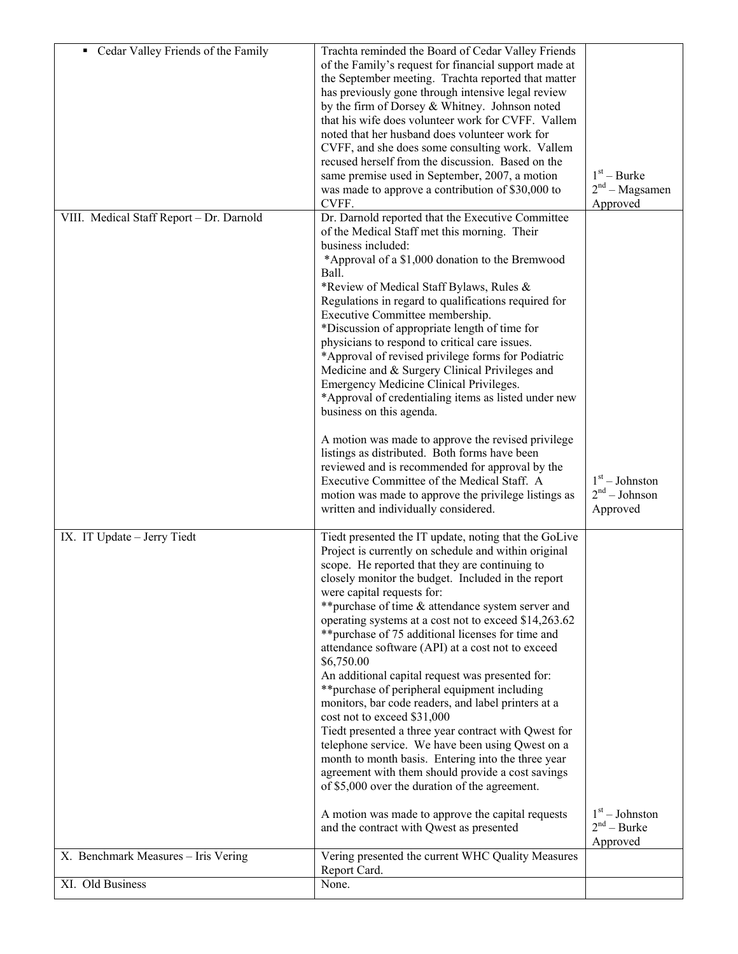| Cedar Valley Friends of the Family       | Trachta reminded the Board of Cedar Valley Friends                                                        |                                       |
|------------------------------------------|-----------------------------------------------------------------------------------------------------------|---------------------------------------|
|                                          | of the Family's request for financial support made at                                                     |                                       |
|                                          | the September meeting. Trachta reported that matter<br>has previously gone through intensive legal review |                                       |
|                                          | by the firm of Dorsey & Whitney. Johnson noted                                                            |                                       |
|                                          | that his wife does volunteer work for CVFF. Vallem                                                        |                                       |
|                                          | noted that her husband does volunteer work for                                                            |                                       |
|                                          | CVFF, and she does some consulting work. Vallem                                                           |                                       |
|                                          | recused herself from the discussion. Based on the                                                         |                                       |
|                                          | same premise used in September, 2007, a motion                                                            | $1st - Burke$<br>$2nd - Magsamen$     |
|                                          | was made to approve a contribution of \$30,000 to<br>CVFF.                                                | Approved                              |
| VIII. Medical Staff Report - Dr. Darnold | Dr. Darnold reported that the Executive Committee                                                         |                                       |
|                                          | of the Medical Staff met this morning. Their                                                              |                                       |
|                                          | business included:                                                                                        |                                       |
|                                          | *Approval of a \$1,000 donation to the Bremwood                                                           |                                       |
|                                          | Ball.                                                                                                     |                                       |
|                                          | *Review of Medical Staff Bylaws, Rules &                                                                  |                                       |
|                                          | Regulations in regard to qualifications required for<br>Executive Committee membership.                   |                                       |
|                                          | *Discussion of appropriate length of time for                                                             |                                       |
|                                          | physicians to respond to critical care issues.                                                            |                                       |
|                                          | *Approval of revised privilege forms for Podiatric                                                        |                                       |
|                                          | Medicine and & Surgery Clinical Privileges and                                                            |                                       |
|                                          | Emergency Medicine Clinical Privileges.                                                                   |                                       |
|                                          | *Approval of credentialing items as listed under new                                                      |                                       |
|                                          | business on this agenda.                                                                                  |                                       |
|                                          | A motion was made to approve the revised privilege                                                        |                                       |
|                                          | listings as distributed. Both forms have been                                                             |                                       |
|                                          | reviewed and is recommended for approval by the                                                           |                                       |
|                                          | Executive Committee of the Medical Staff. A                                                               | $1st - Johnston$                      |
|                                          | motion was made to approve the privilege listings as<br>written and individually considered.              | 2 <sup>nd</sup> – Johnson<br>Approved |
|                                          |                                                                                                           |                                       |
| IX. IT Update - Jerry Tiedt              | Tiedt presented the IT update, noting that the GoLive                                                     |                                       |
|                                          | Project is currently on schedule and within original                                                      |                                       |
|                                          | scope. He reported that they are continuing to                                                            |                                       |
|                                          | closely monitor the budget. Included in the report                                                        |                                       |
|                                          | were capital requests for:<br>** purchase of time & attendance system server and                          |                                       |
|                                          | operating systems at a cost not to exceed \$14,263.62                                                     |                                       |
|                                          | ** purchase of 75 additional licenses for time and                                                        |                                       |
|                                          | attendance software (API) at a cost not to exceed                                                         |                                       |
|                                          | \$6,750.00                                                                                                |                                       |
|                                          | An additional capital request was presented for:                                                          |                                       |
|                                          | ** purchase of peripheral equipment including                                                             |                                       |
|                                          | monitors, bar code readers, and label printers at a<br>cost not to exceed \$31,000                        |                                       |
|                                          | Tiedt presented a three year contract with Qwest for                                                      |                                       |
|                                          | telephone service. We have been using Qwest on a                                                          |                                       |
|                                          | month to month basis. Entering into the three year                                                        |                                       |
|                                          | agreement with them should provide a cost savings                                                         |                                       |
|                                          | of \$5,000 over the duration of the agreement.                                                            |                                       |
|                                          | A motion was made to approve the capital requests                                                         | $1st - Johnston$                      |
|                                          | and the contract with Qwest as presented                                                                  | $2nd - Burke$                         |
|                                          |                                                                                                           | Approved                              |
| X. Benchmark Measures - Iris Vering      | Vering presented the current WHC Quality Measures                                                         |                                       |
|                                          | Report Card.                                                                                              |                                       |
| XI. Old Business                         | None.                                                                                                     |                                       |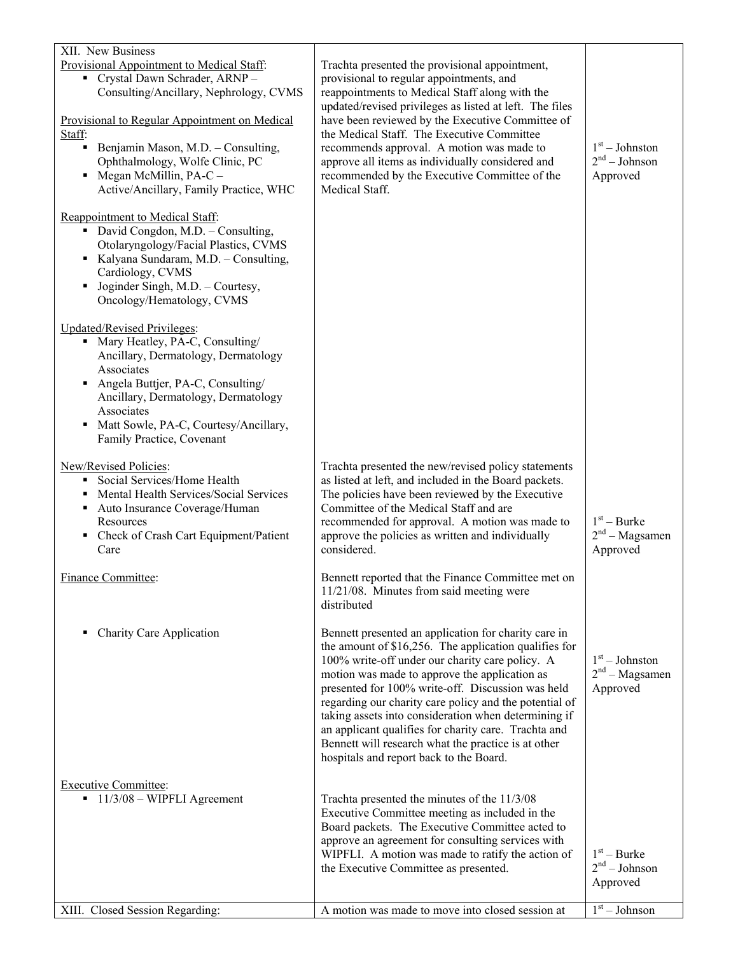| XII. New Business                                                               |                                                                                                                |                                     |
|---------------------------------------------------------------------------------|----------------------------------------------------------------------------------------------------------------|-------------------------------------|
| Provisional Appointment to Medical Staff:<br>Crystal Dawn Schrader, ARNP-       | Trachta presented the provisional appointment,<br>provisional to regular appointments, and                     |                                     |
| Consulting/Ancillary, Nephrology, CVMS                                          | reappointments to Medical Staff along with the                                                                 |                                     |
| Provisional to Regular Appointment on Medical                                   | updated/revised privileges as listed at left. The files<br>have been reviewed by the Executive Committee of    |                                     |
| Staff:                                                                          | the Medical Staff. The Executive Committee                                                                     |                                     |
| • Benjamin Mason, M.D. - Consulting,<br>Ophthalmology, Wolfe Clinic, PC         | recommends approval. A motion was made to<br>approve all items as individually considered and                  | $1st - Johnston$<br>$2nd - Johnson$ |
| $\blacksquare$ Megan McMillin, PA-C –                                           | recommended by the Executive Committee of the                                                                  | Approved                            |
| Active/Ancillary, Family Practice, WHC                                          | Medical Staff.                                                                                                 |                                     |
| Reappointment to Medical Staff:                                                 |                                                                                                                |                                     |
| • David Congdon, M.D. - Consulting,                                             |                                                                                                                |                                     |
| Otolaryngology/Facial Plastics, CVMS<br>Kalyana Sundaram, M.D. - Consulting,    |                                                                                                                |                                     |
| Cardiology, CVMS                                                                |                                                                                                                |                                     |
| Joginder Singh, M.D. - Courtesy,<br>$\blacksquare$<br>Oncology/Hematology, CVMS |                                                                                                                |                                     |
|                                                                                 |                                                                                                                |                                     |
| <b>Updated/Revised Privileges:</b>                                              |                                                                                                                |                                     |
| • Mary Heatley, PA-C, Consulting/<br>Ancillary, Dermatology, Dermatology        |                                                                                                                |                                     |
| Associates                                                                      |                                                                                                                |                                     |
| Angela Buttjer, PA-C, Consulting/<br>٠<br>Ancillary, Dermatology, Dermatology   |                                                                                                                |                                     |
| Associates                                                                      |                                                                                                                |                                     |
| Matt Sowle, PA-C, Courtesy/Ancillary,<br>٠                                      |                                                                                                                |                                     |
| Family Practice, Covenant                                                       |                                                                                                                |                                     |
| New/Revised Policies:<br>Social Services/Home Health                            | Trachta presented the new/revised policy statements                                                            |                                     |
| Mental Health Services/Social Services<br>٠                                     | as listed at left, and included in the Board packets.<br>The policies have been reviewed by the Executive      |                                     |
| Auto Insurance Coverage/Human                                                   | Committee of the Medical Staff and are                                                                         |                                     |
| Resources<br>Check of Crash Cart Equipment/Patient<br>٠                         | recommended for approval. A motion was made to<br>approve the policies as written and individually             | $1st - Burke$<br>$2nd - Magsamen$   |
| Care                                                                            | considered.                                                                                                    | Approved                            |
| Finance Committee:                                                              | Bennett reported that the Finance Committee met on                                                             |                                     |
|                                                                                 | 11/21/08. Minutes from said meeting were                                                                       |                                     |
|                                                                                 | distributed                                                                                                    |                                     |
| Charity Care Application<br>٠                                                   | Bennett presented an application for charity care in                                                           |                                     |
|                                                                                 | the amount of $$16,256$ . The application qualifies for<br>100% write-off under our charity care policy. A     | $1st - Johnston$                    |
|                                                                                 | motion was made to approve the application as                                                                  | $2nd - Magsamen$                    |
|                                                                                 | presented for 100% write-off. Discussion was held                                                              | Approved                            |
|                                                                                 | regarding our charity care policy and the potential of<br>taking assets into consideration when determining if |                                     |
|                                                                                 | an applicant qualifies for charity care. Trachta and                                                           |                                     |
|                                                                                 | Bennett will research what the practice is at other<br>hospitals and report back to the Board.                 |                                     |
|                                                                                 |                                                                                                                |                                     |
| <b>Executive Committee:</b><br>$\blacksquare$ 11/3/08 – WIPFLI Agreement        | Trachta presented the minutes of the 11/3/08                                                                   |                                     |
|                                                                                 | Executive Committee meeting as included in the                                                                 |                                     |
|                                                                                 | Board packets. The Executive Committee acted to                                                                |                                     |
|                                                                                 | approve an agreement for consulting services with<br>WIPFLI. A motion was made to ratify the action of         | $1st - Burke$                       |
|                                                                                 | the Executive Committee as presented.                                                                          | 2 <sup>nd</sup> – Johnson           |
|                                                                                 |                                                                                                                | Approved                            |
| XIII. Closed Session Regarding:                                                 | A motion was made to move into closed session at                                                               | $1st - Johnson$                     |